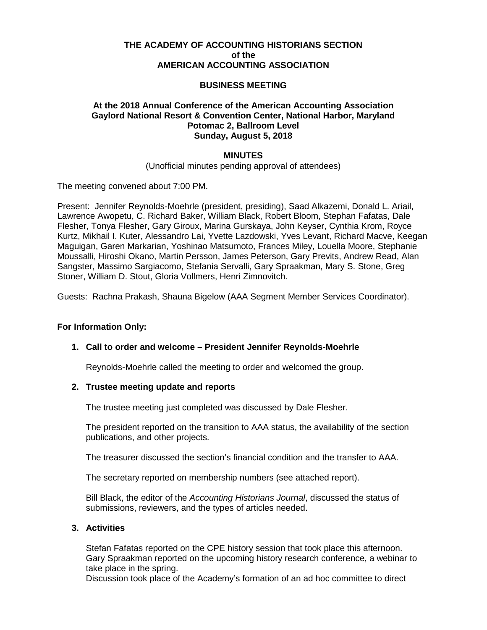# **THE ACADEMY OF ACCOUNTING HISTORIANS SECTION of the AMERICAN ACCOUNTING ASSOCIATION**

## **BUSINESS MEETING**

## **At the 2018 Annual Conference of the American Accounting Association Gaylord National Resort & Convention Center, National Harbor, Maryland Potomac 2, Ballroom Level Sunday, August 5, 2018**

### **MINUTES**

(Unofficial minutes pending approval of attendees)

The meeting convened about 7:00 PM.

Present: Jennifer Reynolds-Moehrle (president, presiding), Saad Alkazemi, Donald L. Ariail, Lawrence Awopetu, C. Richard Baker, William Black, Robert Bloom, Stephan Fafatas, Dale Flesher, Tonya Flesher, Gary Giroux, Marina Gurskaya, John Keyser, Cynthia Krom, Royce Kurtz, Mikhail I. Kuter, Alessandro Lai, Yvette Lazdowski, Yves Levant, Richard Macve, Keegan Maguigan, Garen Markarian, Yoshinao Matsumoto, Frances Miley, Louella Moore, Stephanie Moussalli, Hiroshi Okano, Martin Persson, James Peterson, Gary Previts, Andrew Read, Alan Sangster, Massimo Sargiacomo, Stefania Servalli, Gary Spraakman, Mary S. Stone, Greg Stoner, William D. Stout, Gloria Vollmers, Henri Zimnovitch.

Guests: Rachna Prakash, Shauna Bigelow (AAA Segment Member Services Coordinator).

### **For Information Only:**

### **1. Call to order and welcome – President Jennifer Reynolds-Moehrle**

Reynolds-Moehrle called the meeting to order and welcomed the group.

### **2. Trustee meeting update and reports**

The trustee meeting just completed was discussed by Dale Flesher.

The president reported on the transition to AAA status, the availability of the section publications, and other projects.

The treasurer discussed the section's financial condition and the transfer to AAA.

The secretary reported on membership numbers (see attached report).

Bill Black, the editor of the *Accounting Historians Journal*, discussed the status of submissions, reviewers, and the types of articles needed.

#### **3. Activities**

Stefan Fafatas reported on the CPE history session that took place this afternoon. Gary Spraakman reported on the upcoming history research conference, a webinar to take place in the spring.

Discussion took place of the Academy's formation of an ad hoc committee to direct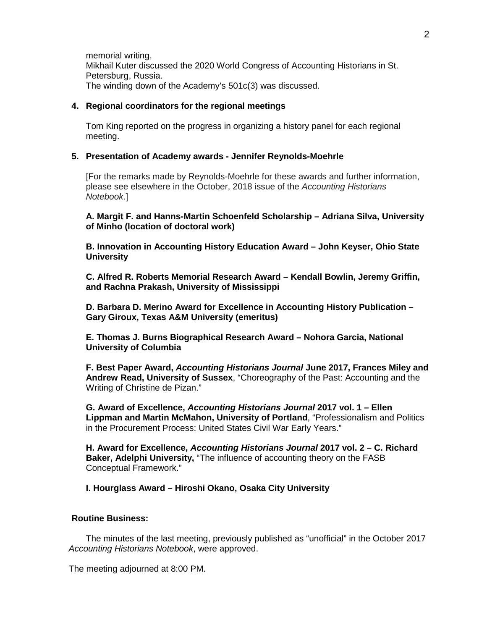memorial writing. Mikhail Kuter discussed the 2020 World Congress of Accounting Historians in St. Petersburg, Russia. The winding down of the Academy's 501c(3) was discussed.

### **4. Regional coordinators for the regional meetings**

Tom King reported on the progress in organizing a history panel for each regional meeting.

### **5. Presentation of Academy awards - Jennifer Reynolds-Moehrle**

[For the remarks made by Reynolds-Moehrle for these awards and further information, please see elsewhere in the October, 2018 issue of the *Accounting Historians Notebook*.]

## **A. Margit F. and Hanns-Martin Schoenfeld Scholarship – Adriana Silva, University of Minho (location of doctoral work)**

**B. Innovation in Accounting History Education Award – John Keyser, Ohio State University**

**C. Alfred R. Roberts Memorial Research Award – Kendall Bowlin, Jeremy Griffin, and Rachna Prakash, University of Mississippi**

**D. Barbara D. Merino Award for Excellence in Accounting History Publication – Gary Giroux, Texas A&M University (emeritus)**

**E. Thomas J. Burns Biographical Research Award – Nohora Garcia, National University of Columbia**

**F. Best Paper Award,** *Accounting Historians Journal* **June 2017, Frances Miley and Andrew Read, University of Sussex**, "Choreography of the Past: Accounting and the Writing of Christine de Pizan."

**G. Award of Excellence,** *Accounting Historians Journal* **2017 vol. 1 – Ellen Lippman and Martin McMahon, University of Portland**, "Professionalism and Politics in the Procurement Process: United States Civil War Early Years."

**H. Award for Excellence,** *Accounting Historians Journal* **2017 vol. 2 – C. Richard Baker, Adelphi University,** "The influence of accounting theory on the FASB Conceptual Framework."

**I. Hourglass Award – Hiroshi Okano, Osaka City University**

# **Routine Business:**

The minutes of the last meeting, previously published as "unofficial" in the October 2017 *Accounting Historians Notebook*, were approved.

The meeting adjourned at 8:00 PM.